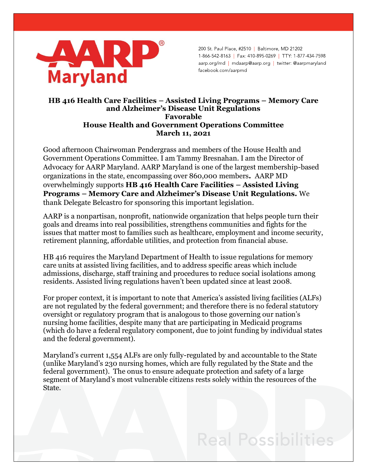

200 St. Paul Place, #2510 | Baltimore, MD 21202 1-866-542-8163 | Fax: 410-895-0269 | TTY: 1-877-434-7598 aarp.org/md | mdaarp@aarp.org | twitter: @aarpmaryland facebook.com/aarpmd

## **HB 416 Health Care Facilities – Assisted Living Programs – Memory Care and Alzheimer's Disease Unit Regulations Favorable House Health and Government Operations Committee March 11, 2021**

Good afternoon Chairwoman Pendergrass and members of the House Health and Government Operations Committee. I am Tammy Bresnahan. I am the Director of Advocacy for AARP Maryland. AARP Maryland is one of the largest membership-based organizations in the state, encompassing over 860,000 members**.** AARP MD overwhelmingly supports **HB 416 Health Care Facilities – Assisted Living Programs – Memory Care and Alzheimer's Disease Unit Regulations.** We thank Delegate Belcastro for sponsoring this important legislation.

AARP is a nonpartisan, nonprofit, nationwide organization that helps people turn their goals and dreams into real possibilities, strengthens communities and fights for the issues that matter most to families such as healthcare, employment and income security, retirement planning, affordable utilities, and protection from financial abuse.

HB 416 requires the Maryland Department of Health to issue regulations for memory care units at assisted living facilities, and to address specific areas which include admissions, discharge, staff training and procedures to reduce social isolations among residents. Assisted living regulations haven't been updated since at least 2008.

For proper context, it is important to note that America's assisted living facilities (ALFs) are not regulated by the federal government; and therefore there is no federal statutory oversight or regulatory program that is analogous to those governing our nation's nursing home facilities, despite many that are participating in Medicaid programs (which do have a federal regulatory component, due to joint funding by individual states and the federal government).

Maryland's current 1,554 ALFs are only fully-regulated by and accountable to the State (unlike Maryland's 230 nursing homes, which are fully regulated by the State and the federal government). The onus to ensure adequate protection and safety of a large segment of Maryland's most vulnerable citizens rests solely within the resources of the State.

## **Real Possibilities**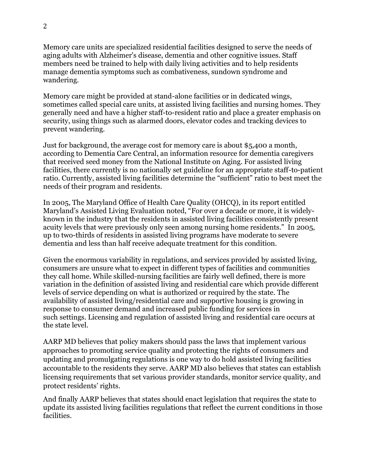Memory care units are specialized residential facilities designed to serve the needs of aging adults with Alzheimer's disease, dementia and other cognitive issues. Staff members need be trained to help with daily living activities and to help residents manage dementia symptoms such as combativeness, sundown syndrome and wandering.

Memory care might be provided at stand-alone facilities or in dedicated wings, sometimes called special care units, at assisted living facilities and nursing homes. They generally need and have a higher staff-to-resident ratio and place a greater emphasis on security, using things such as alarmed doors, elevator codes and tracking devices to prevent wandering.

Just for background, the average cost for memory care is about \$5,400 a month, according to Dementia Care Central, an information resource for dementia caregivers that received seed money from the National Institute on Aging. For assisted living facilities, there currently is no nationally set guideline for an appropriate staff-to-patient ratio. Currently, assisted living facilities determine the "sufficient" ratio to best meet the needs of their program and residents.

In 2005, The Maryland Office of Health Care Quality (OHCQ), in its report entitled Maryland's Assisted Living Evaluation noted, "For over a decade or more, it is widelyknown in the industry that the residents in assisted living facilities consistently present acuity levels that were previously only seen among nursing home residents." In 2005, up to two-thirds of residents in assisted living programs have moderate to severe dementia and less than half receive adequate treatment for this condition.

Given the enormous variability in regulations, and services provided by assisted living, consumers are unsure what to expect in different types of facilities and communities they call home. While skilled-nursing facilities are fairly well defined, there is more variation in the definition of assisted living and residential care which provide different levels of service depending on what is authorized or required by the state. The availability of assisted living/residential care and supportive housing is growing in response to consumer demand and increased public funding for services in such settings. Licensing and regulation of assisted living and residential care occurs at the state level.

AARP MD believes that policy makers should pass the laws that implement various approaches to promoting service quality and protecting the rights of consumers and updating and promulgating regulations is one way to do hold assisted living facilities accountable to the residents they serve. AARP MD also believes that states can establish licensing requirements that set various provider standards, monitor service quality, and protect residents' rights.

And finally AARP believes that states should enact legislation that requires the state to update its assisted living facilities regulations that reflect the current conditions in those facilities.